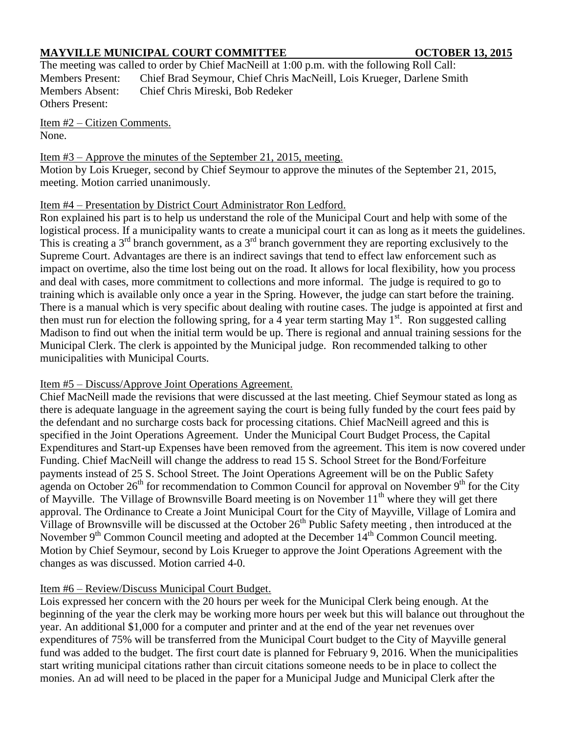## **MAYVILLE MUNICIPAL COURT COMMITTEE OCTOBER 13, 2015**

The meeting was called to order by Chief MacNeill at 1:00 p.m. with the following Roll Call: Members Present: Chief Brad Seymour, Chief Chris MacNeill, Lois Krueger, Darlene Smith Members Absent: Chief Chris Mireski, Bob Redeker Others Present:

Item #2 – Citizen Comments. None.

Item #3 – Approve the minutes of the September 21, 2015, meeting. Motion by Lois Krueger, second by Chief Seymour to approve the minutes of the September 21, 2015, meeting. Motion carried unanimously.

### Item #4 – Presentation by District Court Administrator Ron Ledford.

Ron explained his part is to help us understand the role of the Municipal Court and help with some of the logistical process. If a municipality wants to create a municipal court it can as long as it meets the guidelines. This is creating a  $3^{rd}$  branch government, as a  $3^{rd}$  branch government they are reporting exclusively to the Supreme Court. Advantages are there is an indirect savings that tend to effect law enforcement such as impact on overtime, also the time lost being out on the road. It allows for local flexibility, how you process and deal with cases, more commitment to collections and more informal. The judge is required to go to training which is available only once a year in the Spring. However, the judge can start before the training. There is a manual which is very specific about dealing with routine cases. The judge is appointed at first and then must run for election the following spring, for a 4 year term starting May  $1<sup>st</sup>$ . Ron suggested calling Madison to find out when the initial term would be up. There is regional and annual training sessions for the Municipal Clerk. The clerk is appointed by the Municipal judge. Ron recommended talking to other municipalities with Municipal Courts.

## Item #5 – Discuss/Approve Joint Operations Agreement.

Chief MacNeill made the revisions that were discussed at the last meeting. Chief Seymour stated as long as there is adequate language in the agreement saying the court is being fully funded by the court fees paid by the defendant and no surcharge costs back for processing citations. Chief MacNeill agreed and this is specified in the Joint Operations Agreement. Under the Municipal Court Budget Process, the Capital Expenditures and Start-up Expenses have been removed from the agreement. This item is now covered under Funding. Chief MacNeill will change the address to read 15 S. School Street for the Bond/Forfeiture payments instead of 25 S. School Street. The Joint Operations Agreement will be on the Public Safety agenda on October  $26<sup>th</sup>$  for recommendation to Common Council for approval on November  $9<sup>th</sup>$  for the City of Mayville. The Village of Brownsville Board meeting is on November  $11<sup>th</sup>$  where they will get there approval. The Ordinance to Create a Joint Municipal Court for the City of Mayville, Village of Lomira and Village of Brownsville will be discussed at the October 26<sup>th</sup> Public Safety meeting, then introduced at the November  $9<sup>th</sup>$  Common Council meeting and adopted at the December  $14<sup>th</sup>$  Common Council meeting. Motion by Chief Seymour, second by Lois Krueger to approve the Joint Operations Agreement with the changes as was discussed. Motion carried 4-0.

# Item #6 – Review/Discuss Municipal Court Budget.

Lois expressed her concern with the 20 hours per week for the Municipal Clerk being enough. At the beginning of the year the clerk may be working more hours per week but this will balance out throughout the year. An additional \$1,000 for a computer and printer and at the end of the year net revenues over expenditures of 75% will be transferred from the Municipal Court budget to the City of Mayville general fund was added to the budget. The first court date is planned for February 9, 2016. When the municipalities start writing municipal citations rather than circuit citations someone needs to be in place to collect the monies. An ad will need to be placed in the paper for a Municipal Judge and Municipal Clerk after the